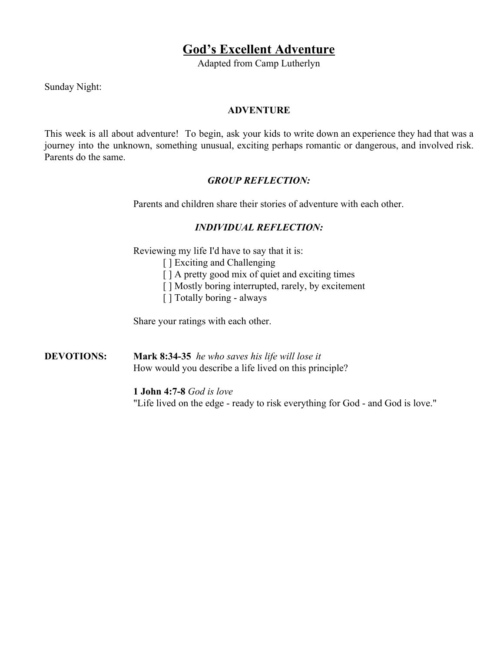# **God's Excellent Adventure**

Adapted from Camp Lutherlyn

Sunday Night:

# **ADVENTURE**

This week is all about adventure! To begin, ask your kids to write down an experience they had that was a journey into the unknown, something unusual, exciting perhaps romantic or dangerous, and involved risk. Parents do the same.

# *GROUP REFLECTION:*

Parents and children share their stories of adventure with each other.

# *INDIVIDUAL REFLECTION:*

Reviewing my life I'd have to say that it is:

- [ ] Exciting and Challenging
- [ ] A pretty good mix of quiet and exciting times
- [ ] Mostly boring interrupted, rarely, by excitement
- [ ] Totally boring always

Share your ratings with each other.

**DEVOTIONS: Mark 8:34-35** *he who saves his life will lose it* How would you describe a life lived on this principle?

> **1 John 4:7-8** *God is love* "Life lived on the edge - ready to risk everything for God - and God is love."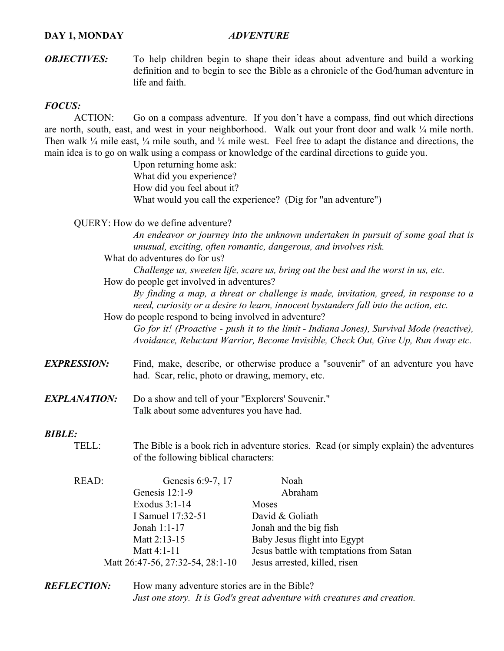# **DAY 1, MONDAY** *ADVENTURE*

*OBJECTIVES:* To help children begin to shape their ideas about adventure and build a working definition and to begin to see the Bible as a chronicle of the God/human adventure in life and faith.

# *FOCUS:*

ACTION: Go on a compass adventure. If you don't have a compass, find out which directions are north, south, east, and west in your neighborhood. Walk out your front door and walk  $\frac{1}{4}$  mile north. Then walk  $\frac{1}{4}$  mile east,  $\frac{1}{4}$  mile south, and  $\frac{1}{4}$  mile west. Feel free to adapt the distance and directions, the main idea is to go on walk using a compass or knowledge of the cardinal directions to guide you.

> Upon returning home ask: What did you experience? How did you feel about it? What would you call the experience? (Dig for "an adventure")

QUERY: How do we define adventure?

*An endeavor or journey into the unknown undertaken in pursuit of some goal that is unusual, exciting, often romantic, dangerous, and involves risk.*

What do adventures do for us?

*Challenge us, sweeten life, scare us, bring out the best and the worst in us, etc.*

How do people get involved in adventures?

*By finding a map, a threat or challenge is made, invitation, greed, in response to a need, curiosity or a desire to learn, innocent bystanders fall into the action, etc.* How do people respond to being involved in adventure?

*Go for it! (Proactive - push it to the limit - Indiana Jones), Survival Mode (reactive), Avoidance, Reluctant Warrior, Become Invisible, Check Out, Give Up, Run Away etc.*

- *EXPRESSION:* Find, make, describe, or otherwise produce a "souvenir" of an adventure you have had. Scar, relic, photo or drawing, memory, etc.
- *EXPLANATION:* Do a show and tell of your "Explorers' Souvenir." Talk about some adventures you have had.

# *BIBLE:*

TELL: The Bible is a book rich in adventure stories. Read (or simply explain) the adventures of the following biblical characters:

| READ: | Genesis 6:9-7, 17                | Noah                                     |
|-------|----------------------------------|------------------------------------------|
|       | Genesis $12:1-9$                 | Abraham                                  |
|       | Exodus $3:1-14$                  | Moses                                    |
|       | I Samuel 17:32-51                | David & Goliath                          |
|       | Jonah 1:1-17                     | Jonah and the big fish                   |
|       | Matt 2:13-15                     | Baby Jesus flight into Egypt             |
|       | Matt 4:1-11                      | Jesus battle with temptations from Satan |
|       | Matt 26:47-56, 27:32-54, 28:1-10 | Jesus arrested, killed, risen            |

*REFLECTION:* How many adventure stories are in the Bible? *Just one story. It is God's great adventure with creatures and creation.*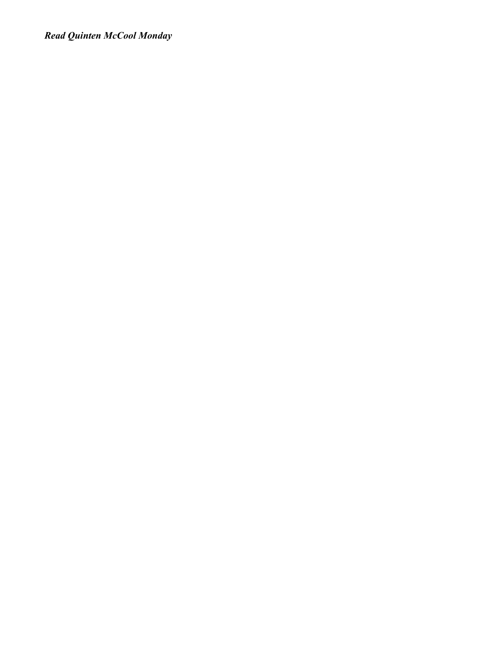*Read Quinten McCool Monday*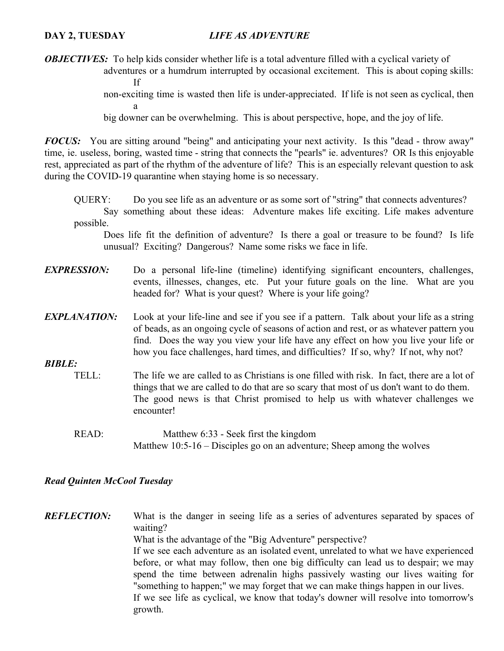# **DAY 2, TUESDAY** *LIFE AS ADVENTURE*

*OBJECTIVES:* To help kids consider whether life is a total adventure filled with a cyclical variety of

adventures or a humdrum interrupted by occasional excitement. This is about coping skills: If

non-exciting time is wasted then life is under-appreciated. If life is not seen as cyclical, then a

big downer can be overwhelming. This is about perspective, hope, and the joy of life.

*FOCUS:* You are sitting around "being" and anticipating your next activity. Is this "dead - throw away" time, ie. useless, boring, wasted time - string that connects the "pearls" ie. adventures? OR Is this enjoyable rest, appreciated as part of the rhythm of the adventure of life? This is an especially relevant question to ask during the COVID-19 quarantine when staying home is so necessary.

QUERY: Do you see life as an adventure or as some sort of "string" that connects adventures? Say something about these ideas: Adventure makes life exciting. Life makes adventure possible.

Does life fit the definition of adventure? Is there a goal or treasure to be found? Is life unusual? Exciting? Dangerous? Name some risks we face in life.

- *EXPRESSION:* Do a personal life-line (timeline) identifying significant encounters, challenges, events, illnesses, changes, etc. Put your future goals on the line. What are you headed for? What is your quest? Where is your life going?
- *EXPLANATION:* Look at your life-line and see if you see if a pattern. Talk about your life as a string of beads, as an ongoing cycle of seasons of action and rest, or as whatever pattern you find. Does the way you view your life have any effect on how you live your life or how you face challenges, hard times, and difficulties? If so, why? If not, why not?
- *BIBLE:*
	- TELL: The life we are called to as Christians is one filled with risk. In fact, there are a lot of things that we are called to do that are so scary that most of us don't want to do them. The good news is that Christ promised to help us with whatever challenges we encounter!
		- READ: Matthew 6:33 Seek first the kingdom Matthew 10:5-16 – Disciples go on an adventure; Sheep among the wolves

# *Read Quinten McCool Tuesday*

*REFLECTION:* What is the danger in seeing life as a series of adventures separated by spaces of waiting? What is the advantage of the "Big Adventure" perspective? If we see each adventure as an isolated event, unrelated to what we have experienced before, or what may follow, then one big difficulty can lead us to despair; we may spend the time between adrenalin highs passively wasting our lives waiting for "something to happen;" we may forget that we can make things happen in our lives. If we see life as cyclical, we know that today's downer will resolve into tomorrow's growth.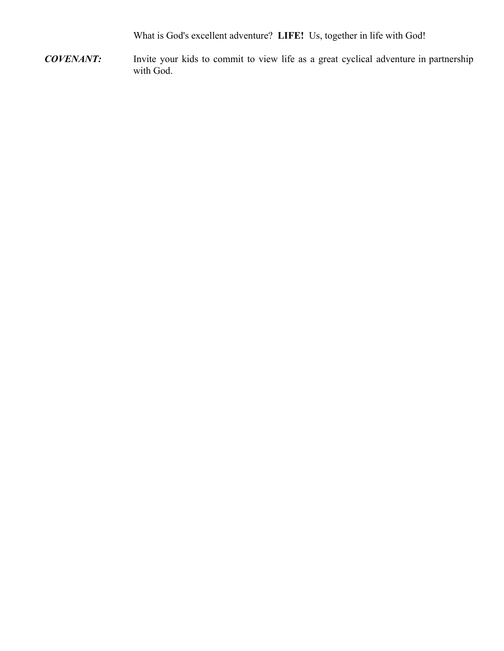What is God's excellent adventure? **LIFE!** Us, together in life with God!

*COVENANT:* Invite your kids to commit to view life as a great cyclical adventure in partnership with God.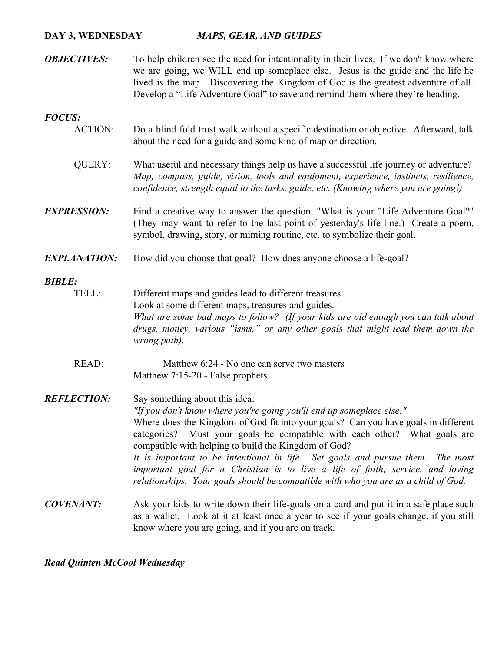# **DAY 3, WEDNESDAY** *MAPS, GEAR, AND GUIDES*

*OBJECTIVES:* To help children see the need for intentionality in their lives. If we don't know where we are going, we WILL end up someplace else. Jesus is the guide and the life he lived is the map. Discovering the Kingdom of God is the greatest adventure of all. Develop a "Life Adventure Goal" to save and remind them where they're heading.

# *FOCUS:*

- ACTION: Do a blind fold trust walk without a specific destination or objective. Afterward, talk about the need for a guide and some kind of map or direction.
	- QUERY: What useful and necessary things help us have a successful life journey or adventure? *Map, compass, guide, vision, tools and equipment, experience, instincts, resilience, confidence, strength equal to the tasks, guide, etc. (Knowing where you are going!)*
- *EXPRESSION:* Find a creative way to answer the question, "What is your "Life Adventure Goal?" (They may want to refer to the last point of yesterday's life-line.) Create a poem, symbol, drawing, story, or miming routine, etc. to symbolize their goal.

# **EXPLANATION:** How did you choose that goal? How does anyone choose a life-goal?

#### *BIBLE:*

- TELL: Different maps and guides lead to different treasures. Look at some different maps, treasures and guides. *What are some bad maps to follow? (If your kids are old enough you can talk about drugs, money, various "isms," or any other goals that might lead them down the wrong path).*
	- READ: Matthew 6:24 No one can serve two masters Matthew 7:15-20 - False prophets

# *REFLECTION:* Say something about this idea: *"If you don't know where you're going you'll end up someplace else."* Where does the Kingdom of God fit into your goals? Can you have goals in different categories? Must your goals be compatible with each other? What goals are compatible with helping to build the Kingdom of God? *It is important to be intentional in life. Set goals and pursue them. The most important goal for a Christian is to live a life of faith, service, and loving relationships. Your goals should be compatible with who you are as a child of God.*

*COVENANT:* Ask your kids to write down their life-goals on a card and put it in a safe place such as a wallet. Look at it at least once a year to see if your goals change, if you still know where you are going, and if you are on track.

# *Read Quinten McCool Wednesday*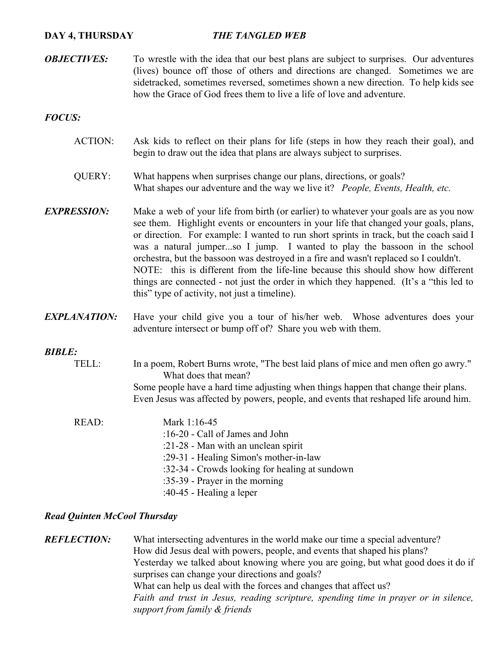#### **DAY 4, THURSDAY** *THE TANGLED WEB*

*OBJECTIVES:* To wrestle with the idea that our best plans are subject to surprises. Our adventures (lives) bounce off those of others and directions are changed. Sometimes we are sidetracked, sometimes reversed, sometimes shown a new direction. To help kids see how the Grace of God frees them to live a life of love and adventure.

#### *FOCUS:*

- ACTION: Ask kids to reflect on their plans for life (steps in how they reach their goal), and begin to draw out the idea that plans are always subject to surprises.
- QUERY: What happens when surprises change our plans, directions, or goals? What shapes our adventure and the way we live it? *People, Events, Health, etc.*
- *EXPRESSION:* Make a web of your life from birth (or earlier) to whatever your goals are as you now see them. Highlight events or encounters in your life that changed your goals, plans, or direction. For example: I wanted to run short sprints in track, but the coach said I was a natural jumper...so I jump. I wanted to play the bassoon in the school orchestra, but the bassoon was destroyed in a fire and wasn't replaced so I couldn't. NOTE: this is different from the life-line because this should show how different things are connected - not just the order in which they happened. (It's a "this led to this" type of activity, not just a timeline).
- *EXPLANATION:* Have your child give you a tour of his/her web. Whose adventures does your adventure intersect or bump off of? Share you web with them.

#### *BIBLE:*

- TELL: In a poem, Robert Burns wrote, "The best laid plans of mice and men often go awry." What does that mean? Some people have a hard time adjusting when things happen that change their plans. Even Jesus was affected by powers, people, and events that reshaped life around him.
- READ: Mark 1:16-45 :16-20 - Call of James and John :21-28 - Man with an unclean spirit :29-31 - Healing Simon's mother-in-law :32-34 - Crowds looking for healing at sundown :35-39 - Prayer in the morning :40-45 - Healing a leper

# *Read Quinten McCool Thursday*

*REFLECTION:* What intersecting adventures in the world make our time a special adventure? How did Jesus deal with powers, people, and events that shaped his plans? Yesterday we talked about knowing where you are going, but what good does it do if surprises can change your directions and goals? What can help us deal with the forces and changes that affect us? *Faith and trust in Jesus, reading scripture, spending time in prayer or in silence, support from family & friends*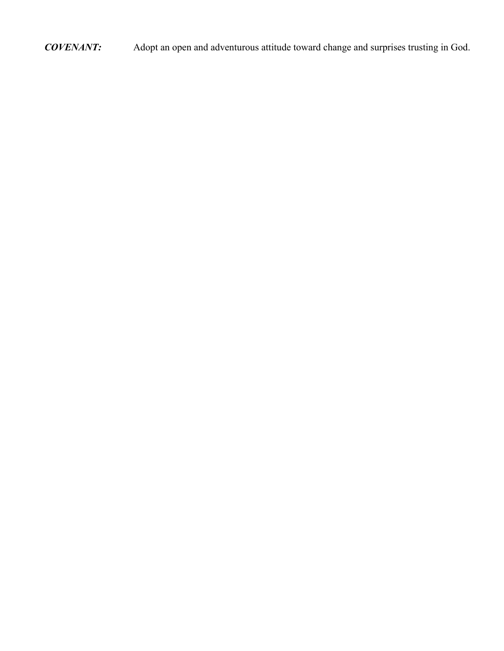*COVENANT:* Adopt an open and adventurous attitude toward change and surprises trusting in God.